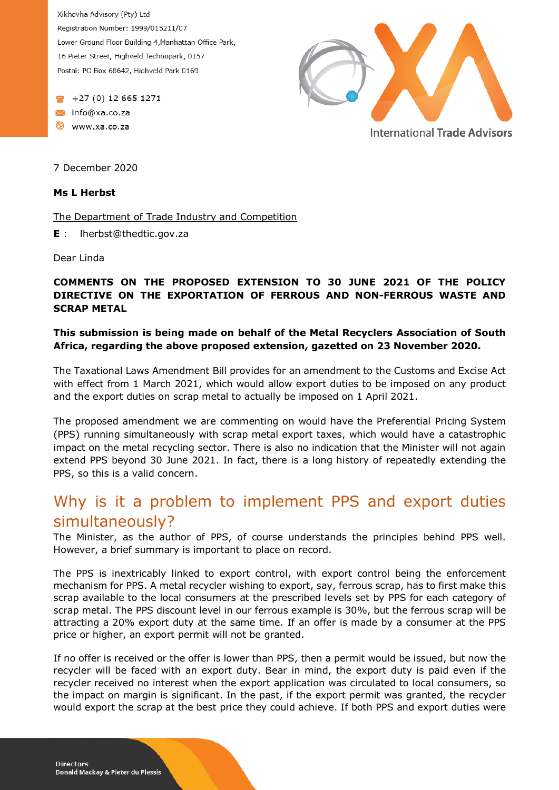Xikhovha Advisory (Pty) Ltd Registration Number: 1999/015211/07 Lower Ground Floor Building 4, Manhattan Office Park, 16 Pieter Street, Highveld Technopark, 0157 Postal: PO Box 68642, Highveld Park 0169

 $+27(0)$  12 665 1271 info@xa.co.za Www.xa.co.za



7 December 2020

#### **Ms L Herbst**

The Department of Trade Industry and Competition

**E** : lherbst@thedtic.gov.za

Dear Linda

### **COMMENTS ON THE PROPOSED EXTENSION TO 30 JUNE 2021 OF THE POLICY DIRECTIVE ON THE EXPORTATION OF FERROUS AND NON-FERROUS WASTE AND SCRAP METAL**

### **This submission is being made on behalf of the Metal Recyclers Association of South Africa, regarding the above proposed extension, gazetted on 23 November 2020.**

The Taxational Laws Amendment Bill provides for an amendment to the Customs and Excise Act with effect from 1 March 2021, which would allow export duties to be imposed on any product and the export duties on scrap metal to actually be imposed on 1 April 2021.

The proposed amendment we are commenting on would have the Preferential Pricing System (PPS) running simultaneously with scrap metal export taxes, which would have a catastrophic impact on the metal recycling sector. There is also no indication that the Minister will not again extend PPS beyond 30 June 2021. In fact, there is a long history of repeatedly extending the PPS, so this is a valid concern.

# Why is it a problem to implement PPS and export duties simultaneously?

The Minister, as the author of PPS, of course understands the principles behind PPS well. However, a brief summary is important to place on record.

The PPS is inextricably linked to export control, with export control being the enforcement mechanism for PPS. A metal recycler wishing to export, say, ferrous scrap, has to first make this scrap available to the local consumers at the prescribed levels set by PPS for each category of scrap metal. The PPS discount level in our ferrous example is 30%, but the ferrous scrap will be attracting a 20% export duty at the same time. If an offer is made by a consumer at the PPS price or higher, an export permit will not be granted.

If no offer is received or the offer is lower than PPS, then a permit would be issued, but now the recycler will be faced with an export duty. Bear in mind, the export duty is paid even if the recycler received no interest when the export application was circulated to local consumers, so the impact on margin is significant. In the past, if the export permit was granted, the recycler would export the scrap at the best price they could achieve. If both PPS and export duties were